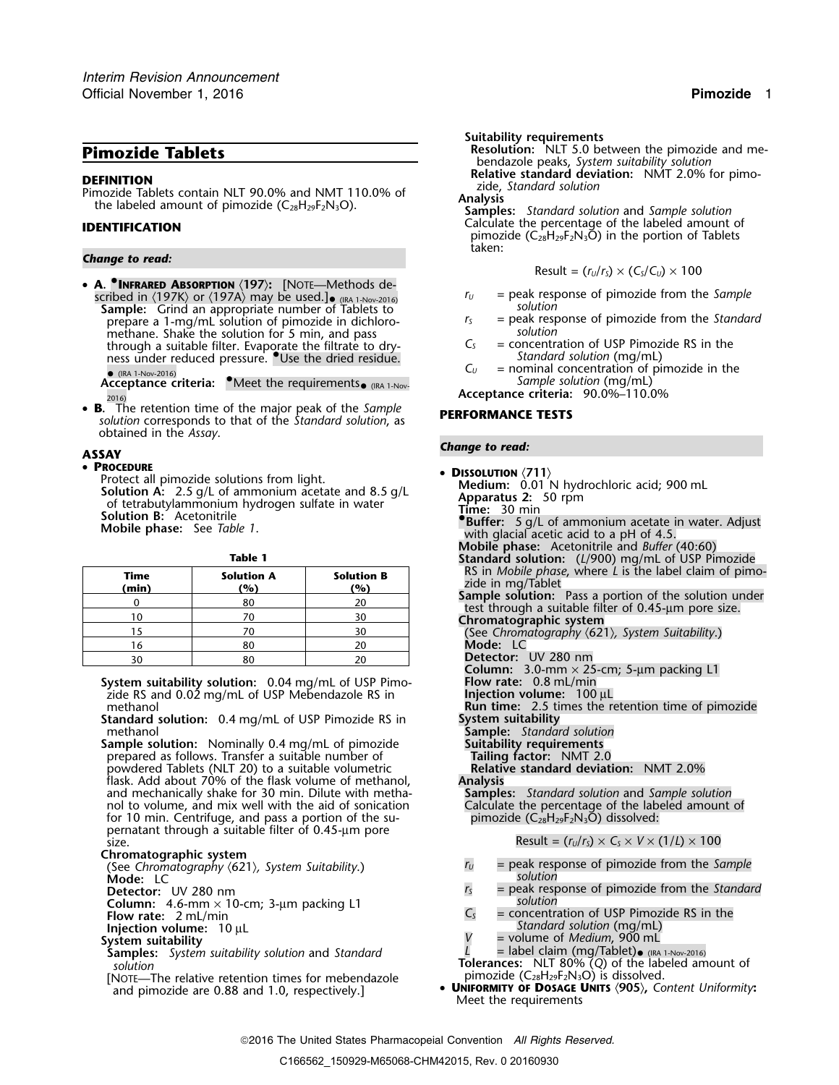**DEFINITION**<br>Pimozide Tablets contain NLT 90.0% and NMT 110.0% of<br>the labeled amount of pimozide (C<sub>28</sub>H<sub>29</sub>F<sub>2</sub>N<sub>3</sub>O). **Analysis** Samples: Standard solution<br>Samples: Standard solution and Sample solution

### *Change to read:*

- **<sup>A</sup>. •.INFRARED ABSORPTION** 〈**197**〉**:** [NOTE—Methods described in  $\langle$ 197K) or  $\langle$ 197A) may be used.]<br> **Sample:** Grind an appropriate number of Tablets to *solution*<br> **Sample:** Grind an appropriate number of Tablets to *solution* prepare a 1-mg/mL solution of pimozide in dichloro-<br>methane. Shake the solution for 5 min, and pass selution *solution* methane. Shake the solution for 5 min, and pass<br>through a suitable filter. Evaporate the filtrate to dry-<br> $C_5$  = concentration of USP Pimozide RS in the through a suitable filter. Evaporate the filtrate to dry- *<sup>C</sup><sup>S</sup>* = concentration of USP Pimozide RS in the ness under reduced pressure. Use the dried residue. Standard solution (mg/mL)  $(IRA 1-Nov-2016)$ 
	- **Acceptance criteria:** *Meet the requirements•* (IRA 1-Nov-<br>Acceptance criteria: *Meet the requirements•* (IRA 1-Nov-
- **<sup>B</sup>.** The retention time of the major peak of the *Sample* **PERFORMANCE TESTS** *solution* corresponds to that of the *Standard solution*, as obtained in the *Assay*.

• **<sup>P</sup>ROCEDURE** •**ROCEDURE:**<br>Protect all pimozide solutions from light.<br>**Solution A:** 2.5 g/L of ammonium acetate and 8.5 g/L<br>of tetrabutylammonium hydrogen sulfate in water<br>**Solution B:** Acetonitrile **Mobile phase:** See *Table 1*.

| ٠ | M.<br>۰. |  |
|---|----------|--|

| Time<br>(min) | <b>Solution A</b><br>(%) | <b>Solution B</b><br>(%) | RS in <i>Mobile phase</i> , where L is the label claim<br>zide in mg/Tablet                               |
|---------------|--------------------------|--------------------------|-----------------------------------------------------------------------------------------------------------|
|               | 80                       | 20                       | <b>Sample solution:</b> Pass a portion of the solutio<br>test through a suitable filter of 0.45-um pore s |
| 10            |                          | 30                       | Chromatographic system                                                                                    |
|               |                          | 30                       | (See Chromatography $(621)$ , System Suitability.)                                                        |
| 16            | 80                       | 20                       | Mode: LC                                                                                                  |
| 30            | 80                       |                          | Detector: UV 280 nm                                                                                       |

## **Chromatographic system**

- **Mode:** LC **Detector:** UV 280 nm
- 
- 
- **Injection volume:** 10 µL

# **System suitability**

- **Samples:** System suitability solution and Standard *solution*
- [NOTE—The relative retention times for mebendazole and pimozide are 0.88 and 1.0, respectively.]

**Suitability requirements**

**Resolution:** NLT 5.0 between the pimozide and me-<br> **Resolution:** NLT 5.0 between the pimozide and me-<br> **Relative standard deviation:** NMT 2.0% for pimo-<br> **Relative standard deviation:** NMT 2.0% for pimo-

Calculate the percentage of the labeled amount of **IDENTIFICATION** pimozide ( $C_{28}H_{29}F_2N_3\overline{O}$ ) in the portion of Tablets taken:

$$
Result = (r_U/r_S) \times (C_S/C_U) \times 100
$$

- 
- 
- 
- $C_U$  = nominal concentration of pimozide in the *Sample solution* (mg/mL)

2016) **Acceptance criteria:** 90.0%–110.0%

# *Change to read:* **ASSAY**

| <b>OCEDURE</b>                                                                                                                                               |                                                     |                   | • DISSOLUTION $\langle 711 \rangle$                              |  |  |
|--------------------------------------------------------------------------------------------------------------------------------------------------------------|-----------------------------------------------------|-------------------|------------------------------------------------------------------|--|--|
|                                                                                                                                                              | rotect all pimozide solutions from light.           |                   | Medium: 0.01 N hydrochloric acid; 900 mL                         |  |  |
| <b>olution A:</b> 2.5 g/L of ammonium acetate and 8.5 g/L                                                                                                    |                                                     |                   | Apparatus 2: 50 rpm                                              |  |  |
|                                                                                                                                                              | of tetrabutylammonium hydrogen sulfate in water     |                   | Time: 30 min                                                     |  |  |
| <b>olution B:</b> Acetonitrile                                                                                                                               |                                                     |                   | <b>Buffer:</b> 5 g/L of ammonium acetate in water. Adjust        |  |  |
| <b>Aobile phase:</b> See Table 1.                                                                                                                            |                                                     |                   | with glacial acetic acid to a pH of 4.5.                         |  |  |
|                                                                                                                                                              |                                                     |                   | Mobile phase: Acetonitrile and Buffer (40:60)                    |  |  |
| <b>Table 1</b>                                                                                                                                               |                                                     |                   | Standard solution: (L/900) mg/mL of USP Pimozide                 |  |  |
|                                                                                                                                                              |                                                     |                   | RS in <i>Mobile phase</i> , where L is the label claim of pimo-  |  |  |
| Time                                                                                                                                                         | <b>Solution A</b>                                   | <b>Solution B</b> | zide in mg/Tablet                                                |  |  |
| (min)                                                                                                                                                        | (%)                                                 | (%)               | <b>Sample solution:</b> Pass a portion of the solution under     |  |  |
| 0                                                                                                                                                            | 80                                                  | 20                | test through a suitable filter of 0.45-um pore size.             |  |  |
| 10                                                                                                                                                           | 70                                                  | 30                | Chromatographic system                                           |  |  |
| 15                                                                                                                                                           | 70                                                  | 30                | (See Chromatography $\langle 621 \rangle$ , System Suitability.) |  |  |
| 16                                                                                                                                                           | 80                                                  | 20                | Mode: LC                                                         |  |  |
| 30                                                                                                                                                           | 80                                                  | 20                | Detector: UV 280 nm                                              |  |  |
|                                                                                                                                                              |                                                     |                   | <b>Column:</b> 3.0-mm $\times$ 25-cm; 5-µm packing L1            |  |  |
|                                                                                                                                                              | ystem suitability solution: 0.04 mg/mL of USP Pimo- |                   | <b>Flow rate:</b> 0.8 mL/min                                     |  |  |
| zide RS and 0.02 mg/mL of USP Mebendazole RS in                                                                                                              |                                                     |                   | Injection volume: $100 \mu L$                                    |  |  |
| methanol                                                                                                                                                     |                                                     |                   | <b>Run time:</b> 2.5 times the retention time of pimozide        |  |  |
| tandard solution: 0.4 mg/mL of USP Pimozide RS in                                                                                                            |                                                     |                   | System suitability                                               |  |  |
| methanol                                                                                                                                                     |                                                     |                   | <b>Sample:</b> Standard solution                                 |  |  |
| <b>ample solution:</b> Nominally 0.4 mg/mL of pimozide                                                                                                       |                                                     |                   | <b>Suitability requirements</b>                                  |  |  |
| prepared as follows. Transfer a suitable number of                                                                                                           |                                                     |                   | Tailing factor: NMT 2.0                                          |  |  |
|                                                                                                                                                              | powdered Tablets (NLT 20) to a suitable volumetric  |                   | Relative standard deviation: NMT 2.0%                            |  |  |
| flask. Add about 70% of the flask volume of methanol,                                                                                                        |                                                     |                   | <b>Analysis</b>                                                  |  |  |
| and mechanically shake for 30 min. Dilute with metha-                                                                                                        |                                                     |                   | <b>Samples:</b> Standard solution and Sample solution            |  |  |
| nol to volume, and mix well with the aid of sonication                                                                                                       |                                                     |                   | Calculate the percentage of the labeled amount of                |  |  |
| for 10 min. Centrifuge, and pass a portion of the su-                                                                                                        |                                                     |                   | pimozide $(C_{28}H_{29}F_2N_3O)$ dissolved:                      |  |  |
| pernatant through a suitable filter of 0.45-µm pore                                                                                                          |                                                     |                   |                                                                  |  |  |
| size.                                                                                                                                                        |                                                     |                   | Result = $(r_u/r_s) \times C_s \times V \times (1/L) \times 100$ |  |  |
| hromatographic system.                                                                                                                                       |                                                     |                   | = peak response of pimozide from the Sample<br>r <sub>U</sub>    |  |  |
| (See Chromatography ⟨621⟩, System Suitability.)<br>Mode: LC                                                                                                  |                                                     |                   | solution                                                         |  |  |
| Detector: UV 280 nm                                                                                                                                          |                                                     |                   | r <sub>S</sub><br>= peak response of pimozide from the Standard  |  |  |
| Column: $4.6$ -mm $\times$ 10-cm; 3-µm packing L1                                                                                                            |                                                     |                   | solution                                                         |  |  |
| <b>Flow rate:</b> 2 mL/min                                                                                                                                   |                                                     |                   | $C_{S}$<br>= concentration of USP Pimozide RS in the             |  |  |
| Injection volume:   10 µL                                                                                                                                    |                                                     |                   | <i>Standard solution (mg/mL)</i>                                 |  |  |
| ystem suitability                                                                                                                                            |                                                     |                   | V<br>= volume of <i>Medium</i> , 900 mL                          |  |  |
| the contract of the contract of the contract of the contract of the contract of the contract of the contract of<br>$\sim$ $\sim$ $\sim$ $\sim$ $\sim$ $\sim$ |                                                     |                   | $-$ label claim (ma/Tablet), $\ldots$                            |  |  |

- **Tolerances:** NLT 80% (Q) of the labeled amount of primozide (C<sub>28</sub>H<sub>29</sub>F<sub>2</sub>N<sub>3</sub>O) is dissolved.
- **UNIFORMITY OF DOSAGE UNITS**  $\langle 905 \rangle$ **, Content Uniformity:** Meet the requirements